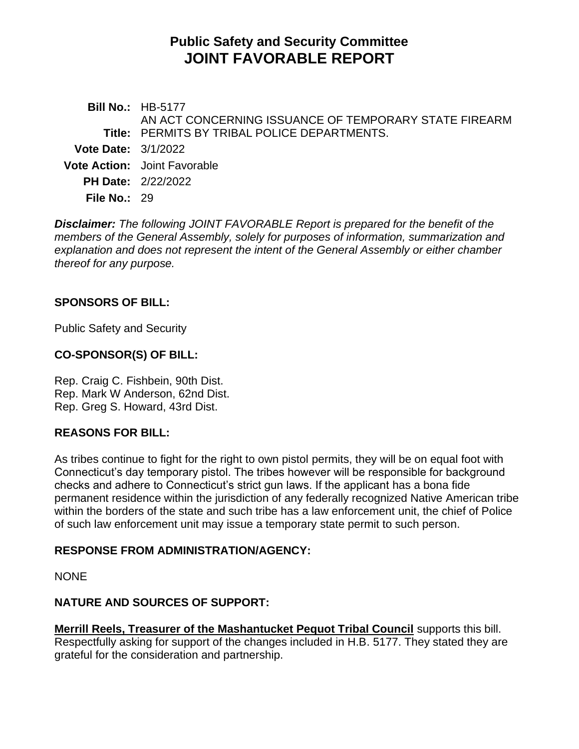# **Public Safety and Security Committee JOINT FAVORABLE REPORT**

**Bill No.:** HB-5177 **Title:** PERMITS BY TRIBAL POLICE DEPARTMENTS. AN ACT CONCERNING ISSUANCE OF TEMPORARY STATE FIREARM **Vote Date:** 3/1/2022 **Vote Action:** Joint Favorable **PH Date:** 2/22/2022 **File No.:** 29

*Disclaimer: The following JOINT FAVORABLE Report is prepared for the benefit of the members of the General Assembly, solely for purposes of information, summarization and explanation and does not represent the intent of the General Assembly or either chamber thereof for any purpose.*

### **SPONSORS OF BILL:**

Public Safety and Security

### **CO-SPONSOR(S) OF BILL:**

Rep. Craig C. Fishbein, 90th Dist. Rep. Mark W Anderson, 62nd Dist. Rep. Greg S. Howard, 43rd Dist.

# **REASONS FOR BILL:**

As tribes continue to fight for the right to own pistol permits, they will be on equal foot with Connecticut's day temporary pistol. The tribes however will be responsible for background checks and adhere to Connecticut's strict gun laws. If the applicant has a bona fide permanent residence within the jurisdiction of any federally recognized Native American tribe within the borders of the state and such tribe has a law enforcement unit, the chief of Police of such law enforcement unit may issue a temporary state permit to such person.

#### **RESPONSE FROM ADMINISTRATION/AGENCY:**

**NONE** 

# **NATURE AND SOURCES OF SUPPORT:**

**Merrill Reels, Treasurer of the Mashantucket Pequot Tribal Council** supports this bill. Respectfully asking for support of the changes included in H.B. 5177. They stated they are grateful for the consideration and partnership.